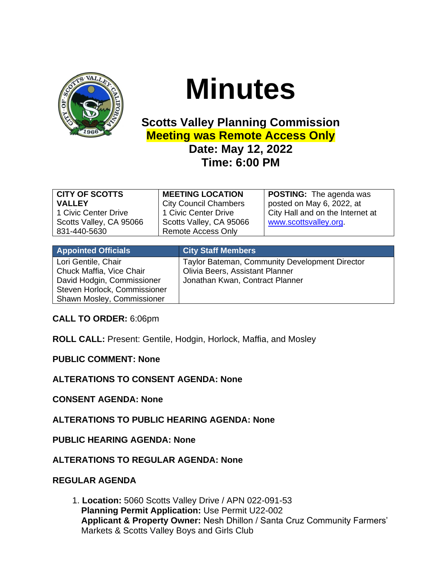

# **Minutes**

## **Scotts Valley Planning Commission Meeting was Remote Access Only**

### **Date: May 12, 2022 Time: 6:00 PM**

| <b>CITY OF SCOTTS</b>   | <b>MEETING LOCATION</b>      | <b>POSTING:</b> The agenda was   |
|-------------------------|------------------------------|----------------------------------|
| <b>VALLEY</b>           | <b>City Council Chambers</b> | posted on May 6, 2022, at        |
| 1 Civic Center Drive    | 1 Civic Center Drive         | City Hall and on the Internet at |
| Scotts Valley, CA 95066 | Scotts Valley, CA 95066      | www.scottsvalley.org.            |
| 831-440-5630            | <b>Remote Access Only</b>    |                                  |
|                         |                              |                                  |

| <b>City Staff Members</b>                                                                                            |
|----------------------------------------------------------------------------------------------------------------------|
| Taylor Bateman, Community Development Director<br>Olivia Beers, Assistant Planner<br>Jonathan Kwan, Contract Planner |
|                                                                                                                      |

**CALL TO ORDER:** 6:06pm

**ROLL CALL:** Present: Gentile, Hodgin, Horlock, Maffia, and Mosley

**PUBLIC COMMENT: None**

**ALTERATIONS TO CONSENT AGENDA: None**

**CONSENT AGENDA: None**

**ALTERATIONS TO PUBLIC HEARING AGENDA: None**

**PUBLIC HEARING AGENDA: None**

**ALTERATIONS TO REGULAR AGENDA: None**

#### **REGULAR AGENDA**

1. **Location:** 5060 Scotts Valley Drive / APN 022-091-53 **Planning Permit Application:** Use Permit U22-002 **Applicant & Property Owner:** Nesh Dhillon / Santa Cruz Community Farmers' Markets & Scotts Valley Boys and Girls Club